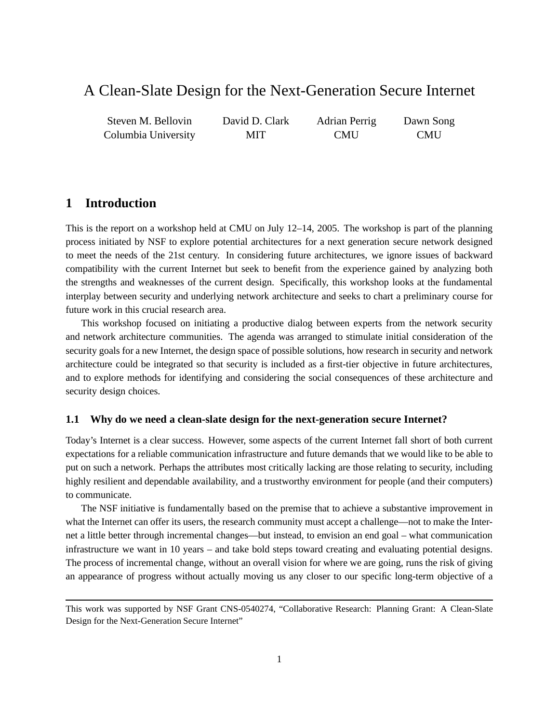# A Clean-Slate Design for the Next-Generation Secure Internet

Steven M. Bellovin Columbia University David D. Clark MIT Adrian Perrig **CMU** Dawn Song **CMU** 

# **1 Introduction**

This is the report on a workshop held at CMU on July 12–14, 2005. The workshop is part of the planning process initiated by NSF to explore potential architectures for a next generation secure network designed to meet the needs of the 21st century. In considering future architectures, we ignore issues of backward compatibility with the current Internet but seek to benefit from the experience gained by analyzing both the strengths and weaknesses of the current design. Specifically, this workshop looks at the fundamental interplay between security and underlying network architecture and seeks to chart a preliminary course for future work in this crucial research area.

This workshop focused on initiating a productive dialog between experts from the network security and network architecture communities. The agenda was arranged to stimulate initial consideration of the security goals for a new Internet, the design space of possible solutions, how research in security and network architecture could be integrated so that security is included as a first-tier objective in future architectures, and to explore methods for identifying and considering the social consequences of these architecture and security design choices.

### **1.1 Why do we need a clean-slate design for the next-generation secure Internet?**

Today's Internet is a clear success. However, some aspects of the current Internet fall short of both current expectations for a reliable communication infrastructure and future demands that we would like to be able to put on such a network. Perhaps the attributes most critically lacking are those relating to security, including highly resilient and dependable availability, and a trustworthy environment for people (and their computers) to communicate.

The NSF initiative is fundamentally based on the premise that to achieve a substantive improvement in what the Internet can offer its users, the research community must accept a challenge—not to make the Internet a little better through incremental changes—but instead, to envision an end goal – what communication infrastructure we want in 10 years – and take bold steps toward creating and evaluating potential designs. The process of incremental change, without an overall vision for where we are going, runs the risk of giving an appearance of progress without actually moving us any closer to our specific long-term objective of a

This work was supported by NSF Grant CNS-0540274, "Collaborative Research: Planning Grant: A Clean-Slate Design for the Next-Generation Secure Internet"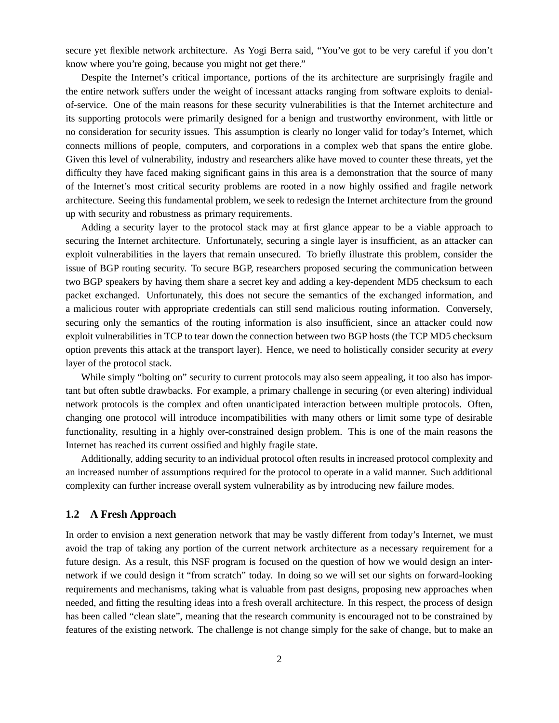secure yet flexible network architecture. As Yogi Berra said, "You've got to be very careful if you don't know where you're going, because you might not get there."

Despite the Internet's critical importance, portions of the its architecture are surprisingly fragile and the entire network suffers under the weight of incessant attacks ranging from software exploits to denialof-service. One of the main reasons for these security vulnerabilities is that the Internet architecture and its supporting protocols were primarily designed for a benign and trustworthy environment, with little or no consideration for security issues. This assumption is clearly no longer valid for today's Internet, which connects millions of people, computers, and corporations in a complex web that spans the entire globe. Given this level of vulnerability, industry and researchers alike have moved to counter these threats, yet the difficulty they have faced making significant gains in this area is a demonstration that the source of many of the Internet's most critical security problems are rooted in a now highly ossified and fragile network architecture. Seeing this fundamental problem, we seek to redesign the Internet architecture from the ground up with security and robustness as primary requirements.

Adding a security layer to the protocol stack may at first glance appear to be a viable approach to securing the Internet architecture. Unfortunately, securing a single layer is insufficient, as an attacker can exploit vulnerabilities in the layers that remain unsecured. To briefly illustrate this problem, consider the issue of BGP routing security. To secure BGP, researchers proposed securing the communication between two BGP speakers by having them share a secret key and adding a key-dependent MD5 checksum to each packet exchanged. Unfortunately, this does not secure the semantics of the exchanged information, and a malicious router with appropriate credentials can still send malicious routing information. Conversely, securing only the semantics of the routing information is also insufficient, since an attacker could now exploit vulnerabilities in TCP to tear down the connection between two BGP hosts (the TCP MD5 checksum option prevents this attack at the transport layer). Hence, we need to holistically consider security at *every* layer of the protocol stack.

While simply "bolting on" security to current protocols may also seem appealing, it too also has important but often subtle drawbacks. For example, a primary challenge in securing (or even altering) individual network protocols is the complex and often unanticipated interaction between multiple protocols. Often, changing one protocol will introduce incompatibilities with many others or limit some type of desirable functionality, resulting in a highly over-constrained design problem. This is one of the main reasons the Internet has reached its current ossified and highly fragile state.

Additionally, adding security to an individual protocol often results in increased protocol complexity and an increased number of assumptions required for the protocol to operate in a valid manner. Such additional complexity can further increase overall system vulnerability as by introducing new failure modes.

### **1.2 A Fresh Approach**

In order to envision a next generation network that may be vastly different from today's Internet, we must avoid the trap of taking any portion of the current network architecture as a necessary requirement for a future design. As a result, this NSF program is focused on the question of how we would design an internetwork if we could design it "from scratch" today. In doing so we will set our sights on forward-looking requirements and mechanisms, taking what is valuable from past designs, proposing new approaches when needed, and fitting the resulting ideas into a fresh overall architecture. In this respect, the process of design has been called "clean slate", meaning that the research community is encouraged not to be constrained by features of the existing network. The challenge is not change simply for the sake of change, but to make an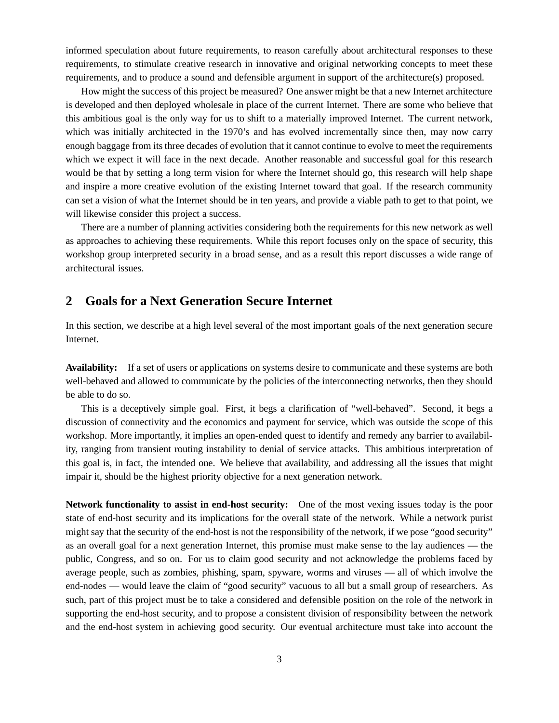informed speculation about future requirements, to reason carefully about architectural responses to these requirements, to stimulate creative research in innovative and original networking concepts to meet these requirements, and to produce a sound and defensible argument in support of the architecture(s) proposed.

How might the success of this project be measured? One answer might be that a new Internet architecture is developed and then deployed wholesale in place of the current Internet. There are some who believe that this ambitious goal is the only way for us to shift to a materially improved Internet. The current network, which was initially architected in the 1970's and has evolved incrementally since then, may now carry enough baggage from its three decades of evolution that it cannot continue to evolve to meet the requirements which we expect it will face in the next decade. Another reasonable and successful goal for this research would be that by setting a long term vision for where the Internet should go, this research will help shape and inspire a more creative evolution of the existing Internet toward that goal. If the research community can set a vision of what the Internet should be in ten years, and provide a viable path to get to that point, we will likewise consider this project a success.

There are a number of planning activities considering both the requirements for this new network as well as approaches to achieving these requirements. While this report focuses only on the space of security, this workshop group interpreted security in a broad sense, and as a result this report discusses a wide range of architectural issues.

# **2 Goals for a Next Generation Secure Internet**

In this section, we describe at a high level several of the most important goals of the next generation secure Internet.

**Availability:** If a set of users or applications on systems desire to communicate and these systems are both well-behaved and allowed to communicate by the policies of the interconnecting networks, then they should be able to do so.

This is a deceptively simple goal. First, it begs a clarification of "well-behaved". Second, it begs a discussion of connectivity and the economics and payment for service, which was outside the scope of this workshop. More importantly, it implies an open-ended quest to identify and remedy any barrier to availability, ranging from transient routing instability to denial of service attacks. This ambitious interpretation of this goal is, in fact, the intended one. We believe that availability, and addressing all the issues that might impair it, should be the highest priority objective for a next generation network.

**Network functionality to assist in end-host security:** One of the most vexing issues today is the poor state of end-host security and its implications for the overall state of the network. While a network purist might say that the security of the end-host is not the responsibility of the network, if we pose "good security" as an overall goal for a next generation Internet, this promise must make sense to the lay audiences — the public, Congress, and so on. For us to claim good security and not acknowledge the problems faced by average people, such as zombies, phishing, spam, spyware, worms and viruses — all of which involve the end-nodes — would leave the claim of "good security" vacuous to all but a small group of researchers. As such, part of this project must be to take a considered and defensible position on the role of the network in supporting the end-host security, and to propose a consistent division of responsibility between the network and the end-host system in achieving good security. Our eventual architecture must take into account the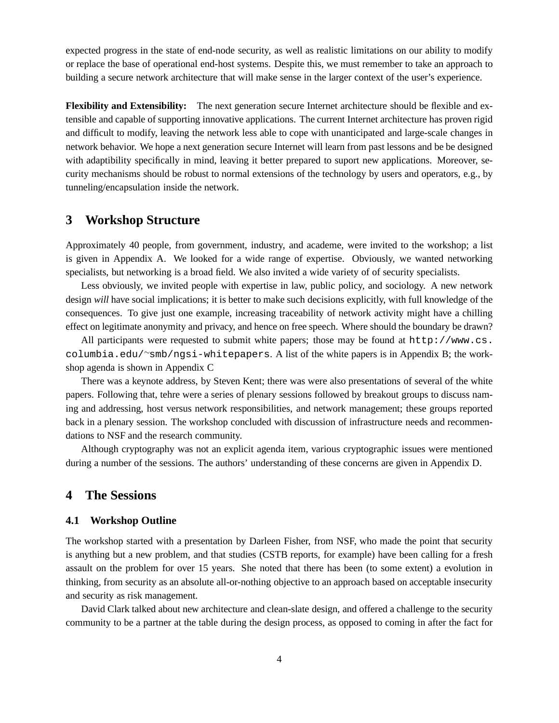expected progress in the state of end-node security, as well as realistic limitations on our ability to modify or replace the base of operational end-host systems. Despite this, we must remember to take an approach to building a secure network architecture that will make sense in the larger context of the user's experience.

**Flexibility and Extensibility:** The next generation secure Internet architecture should be flexible and extensible and capable of supporting innovative applications. The current Internet architecture has proven rigid and difficult to modify, leaving the network less able to cope with unanticipated and large-scale changes in network behavior. We hope a next generation secure Internet will learn from past lessons and be be designed with adaptibility specifically in mind, leaving it better prepared to suport new applications. Moreover, security mechanisms should be robust to normal extensions of the technology by users and operators, e.g., by tunneling/encapsulation inside the network.

## **3 Workshop Structure**

Approximately 40 people, from government, industry, and academe, were invited to the workshop; a list is given in Appendix A. We looked for a wide range of expertise. Obviously, we wanted networking specialists, but networking is a broad field. We also invited a wide variety of of security specialists.

Less obviously, we invited people with expertise in law, public policy, and sociology. A new network design *will* have social implications; it is better to make such decisions explicitly, with full knowledge of the consequences. To give just one example, increasing traceability of network activity might have a chilling effect on legitimate anonymity and privacy, and hence on free speech. Where should the boundary be drawn?

All participants were requested to submit white papers; those may be found at http://www.cs. columbia.edu/∼smb/ngsi-whitepapers. A list of the white papers is in Appendix B; the workshop agenda is shown in Appendix C

There was a keynote address, by Steven Kent; there was were also presentations of several of the white papers. Following that, tehre were a series of plenary sessions followed by breakout groups to discuss naming and addressing, host versus network responsibilities, and network management; these groups reported back in a plenary session. The workshop concluded with discussion of infrastructure needs and recommendations to NSF and the research community.

Although cryptography was not an explicit agenda item, various cryptographic issues were mentioned during a number of the sessions. The authors' understanding of these concerns are given in Appendix D.

## **4 The Sessions**

#### **4.1 Workshop Outline**

The workshop started with a presentation by Darleen Fisher, from NSF, who made the point that security is anything but a new problem, and that studies (CSTB reports, for example) have been calling for a fresh assault on the problem for over 15 years. She noted that there has been (to some extent) a evolution in thinking, from security as an absolute all-or-nothing objective to an approach based on acceptable insecurity and security as risk management.

David Clark talked about new architecture and clean-slate design, and offered a challenge to the security community to be a partner at the table during the design process, as opposed to coming in after the fact for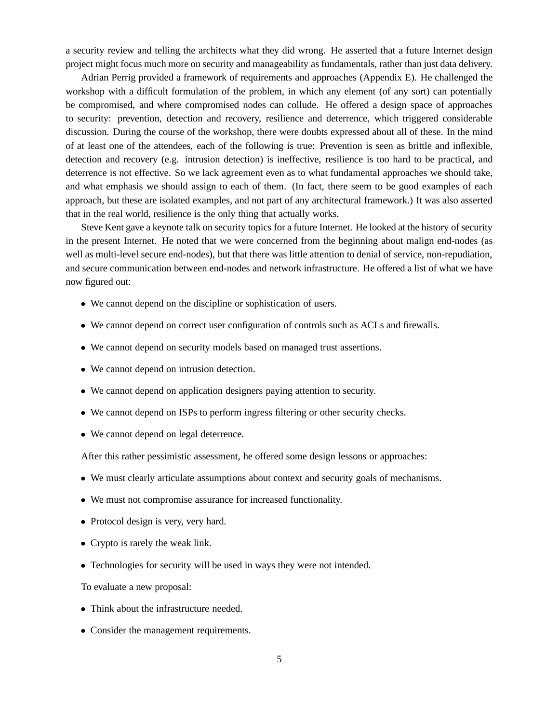a security review and telling the architects what they did wrong. He asserted that a future Internet design project might focus much more on security and manageability as fundamentals, rather than just data delivery.

Adrian Perrig provided a framework of requirements and approaches (Appendix E). He challenged the workshop with a difficult formulation of the problem, in which any element (of any sort) can potentially be compromised, and where compromised nodes can collude. He offered a design space of approaches to security: prevention, detection and recovery, resilience and deterrence, which triggered considerable discussion. During the course of the workshop, there were doubts expressed about all of these. In the mind of at least one of the attendees, each of the following is true: Prevention is seen as brittle and inflexible, detection and recovery (e.g. intrusion detection) is ineffective, resilience is too hard to be practical, and deterrence is not effective. So we lack agreement even as to what fundamental approaches we should take, and what emphasis we should assign to each of them. (In fact, there seem to be good examples of each approach, but these are isolated examples, and not part of any architectural framework.) It was also asserted that in the real world, resilience is the only thing that actually works.

Steve Kent gave a keynote talk on security topics for a future Internet. He looked at the history of security in the present Internet. He noted that we were concerned from the beginning about malign end-nodes (as well as multi-level secure end-nodes), but that there was little attention to denial of service, non-repudiation, and secure communication between end-nodes and network infrastructure. He offered a list of what we have now figured out:

- We cannot depend on the discipline or sophistication of users.
- We cannot depend on correct user configuration of controls such as ACLs and firewalls.
- We cannot depend on security models based on managed trust assertions.
- We cannot depend on intrusion detection.
- We cannot depend on application designers paying attention to security.
- We cannot depend on ISPs to perform ingress filtering or other security checks.
- We cannot depend on legal deterrence.

After this rather pessimistic assessment, he offered some design lessons or approaches:

- We must clearly articulate assumptions about context and security goals of mechanisms.
- We must not compromise assurance for increased functionality.
- Protocol design is very, very hard.
- Crypto is rarely the weak link.
- Technologies for security will be used in ways they were not intended.

To evaluate a new proposal:

- Think about the infrastructure needed.
- Consider the management requirements.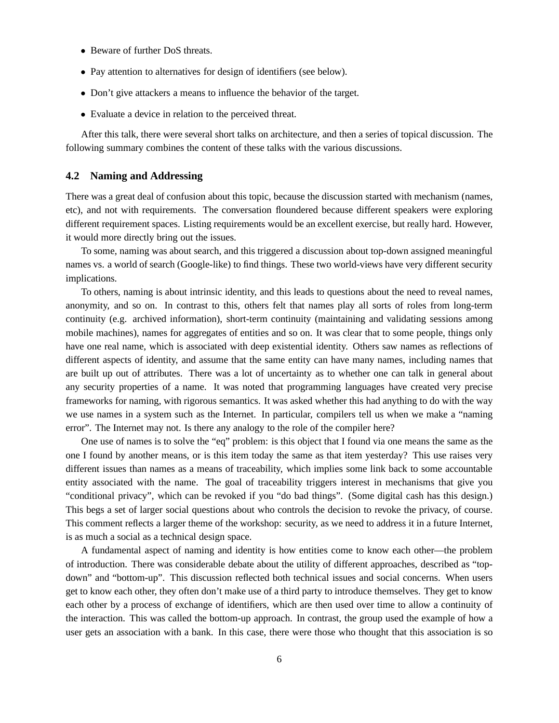- Beware of further DoS threats.
- Pay attention to alternatives for design of identifiers (see below).
- Don't give attackers a means to influence the behavior of the target.
- Evaluate a device in relation to the perceived threat.

After this talk, there were several short talks on architecture, and then a series of topical discussion. The following summary combines the content of these talks with the various discussions.

### **4.2 Naming and Addressing**

There was a great deal of confusion about this topic, because the discussion started with mechanism (names, etc), and not with requirements. The conversation floundered because different speakers were exploring different requirement spaces. Listing requirements would be an excellent exercise, but really hard. However, it would more directly bring out the issues.

To some, naming was about search, and this triggered a discussion about top-down assigned meaningful names vs. a world of search (Google-like) to find things. These two world-views have very different security implications.

To others, naming is about intrinsic identity, and this leads to questions about the need to reveal names, anonymity, and so on. In contrast to this, others felt that names play all sorts of roles from long-term continuity (e.g. archived information), short-term continuity (maintaining and validating sessions among mobile machines), names for aggregates of entities and so on. It was clear that to some people, things only have one real name, which is associated with deep existential identity. Others saw names as reflections of different aspects of identity, and assume that the same entity can have many names, including names that are built up out of attributes. There was a lot of uncertainty as to whether one can talk in general about any security properties of a name. It was noted that programming languages have created very precise frameworks for naming, with rigorous semantics. It was asked whether this had anything to do with the way we use names in a system such as the Internet. In particular, compilers tell us when we make a "naming error". The Internet may not. Is there any analogy to the role of the compiler here?

One use of names is to solve the "eq" problem: is this object that I found via one means the same as the one I found by another means, or is this item today the same as that item yesterday? This use raises very different issues than names as a means of traceability, which implies some link back to some accountable entity associated with the name. The goal of traceability triggers interest in mechanisms that give you "conditional privacy", which can be revoked if you "do bad things". (Some digital cash has this design.) This begs a set of larger social questions about who controls the decision to revoke the privacy, of course. This comment reflects a larger theme of the workshop: security, as we need to address it in a future Internet, is as much a social as a technical design space.

A fundamental aspect of naming and identity is how entities come to know each other—the problem of introduction. There was considerable debate about the utility of different approaches, described as "topdown" and "bottom-up". This discussion reflected both technical issues and social concerns. When users get to know each other, they often don't make use of a third party to introduce themselves. They get to know each other by a process of exchange of identifiers, which are then used over time to allow a continuity of the interaction. This was called the bottom-up approach. In contrast, the group used the example of how a user gets an association with a bank. In this case, there were those who thought that this association is so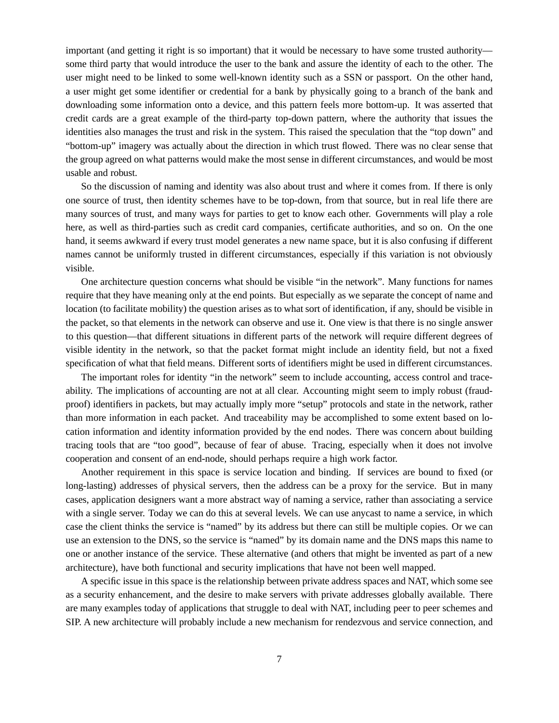important (and getting it right is so important) that it would be necessary to have some trusted authority some third party that would introduce the user to the bank and assure the identity of each to the other. The user might need to be linked to some well-known identity such as a SSN or passport. On the other hand, a user might get some identifier or credential for a bank by physically going to a branch of the bank and downloading some information onto a device, and this pattern feels more bottom-up. It was asserted that credit cards are a great example of the third-party top-down pattern, where the authority that issues the identities also manages the trust and risk in the system. This raised the speculation that the "top down" and "bottom-up" imagery was actually about the direction in which trust flowed. There was no clear sense that the group agreed on what patterns would make the most sense in different circumstances, and would be most usable and robust.

So the discussion of naming and identity was also about trust and where it comes from. If there is only one source of trust, then identity schemes have to be top-down, from that source, but in real life there are many sources of trust, and many ways for parties to get to know each other. Governments will play a role here, as well as third-parties such as credit card companies, certificate authorities, and so on. On the one hand, it seems awkward if every trust model generates a new name space, but it is also confusing if different names cannot be uniformly trusted in different circumstances, especially if this variation is not obviously visible.

One architecture question concerns what should be visible "in the network". Many functions for names require that they have meaning only at the end points. But especially as we separate the concept of name and location (to facilitate mobility) the question arises as to what sort of identification, if any, should be visible in the packet, so that elements in the network can observe and use it. One view is that there is no single answer to this question—that different situations in different parts of the network will require different degrees of visible identity in the network, so that the packet format might include an identity field, but not a fixed specification of what that field means. Different sorts of identifiers might be used in different circumstances.

The important roles for identity "in the network" seem to include accounting, access control and traceability. The implications of accounting are not at all clear. Accounting might seem to imply robust (fraudproof) identifiers in packets, but may actually imply more "setup" protocols and state in the network, rather than more information in each packet. And traceability may be accomplished to some extent based on location information and identity information provided by the end nodes. There was concern about building tracing tools that are "too good", because of fear of abuse. Tracing, especially when it does not involve cooperation and consent of an end-node, should perhaps require a high work factor.

Another requirement in this space is service location and binding. If services are bound to fixed (or long-lasting) addresses of physical servers, then the address can be a proxy for the service. But in many cases, application designers want a more abstract way of naming a service, rather than associating a service with a single server. Today we can do this at several levels. We can use any cast to name a service, in which case the client thinks the service is "named" by its address but there can still be multiple copies. Or we can use an extension to the DNS, so the service is "named" by its domain name and the DNS maps this name to one or another instance of the service. These alternative (and others that might be invented as part of a new architecture), have both functional and security implications that have not been well mapped.

A specific issue in this space is the relationship between private address spaces and NAT, which some see as a security enhancement, and the desire to make servers with private addresses globally available. There are many examples today of applications that struggle to deal with NAT, including peer to peer schemes and SIP. A new architecture will probably include a new mechanism for rendezvous and service connection, and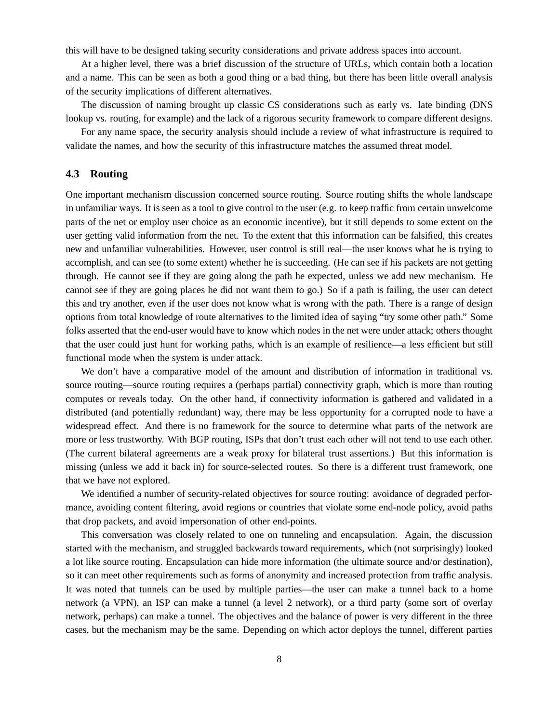this will have to be designed taking security considerations and private address spaces into account.

At a higher level, there was a brief discussion of the structure of URLs, which contain both a location and a name. This can be seen as both a good thing or a bad thing, but there has been little overall analysis of the security implications of different alternatives.

The discussion of naming brought up classic CS considerations such as early vs. late binding (DNS lookup vs. routing, for example) and the lack of a rigorous security framework to compare different designs.

For any name space, the security analysis should include a review of what infrastructure is required to validate the names, and how the security of this infrastructure matches the assumed threat model.

#### **4.3 Routing**

One important mechanism discussion concerned source routing. Source routing shifts the whole landscape in unfamiliar ways. It is seen as a tool to give control to the user (e.g. to keep traffic from certain unwelcome parts of the net or employ user choice as an economic incentive), but it still depends to some extent on the user getting valid information from the net. To the extent that this information can be falsified, this creates new and unfamiliar vulnerabilities. However, user control is still real—the user knows what he is trying to accomplish, and can see (to some extent) whether he is succeeding. (He can see if his packets are not getting through. He cannot see if they are going along the path he expected, unless we add new mechanism. He cannot see if they are going places he did not want them to go.) So if a path is failing, the user can detect this and try another, even if the user does not know what is wrong with the path. There is a range of design options from total knowledge of route alternatives to the limited idea of saying "try some other path." Some folks asserted that the end-user would have to know which nodes in the net were under attack; others thought that the user could just hunt for working paths, which is an example of resilience—a less efficient but still functional mode when the system is under attack.

We don't have a comparative model of the amount and distribution of information in traditional vs. source routing—source routing requires a (perhaps partial) connectivity graph, which is more than routing computes or reveals today. On the other hand, if connectivity information is gathered and validated in a distributed (and potentially redundant) way, there may be less opportunity for a corrupted node to have a widespread effect. And there is no framework for the source to determine what parts of the network are more or less trustworthy. With BGP routing, ISPs that don't trust each other will not tend to use each other. (The current bilateral agreements are a weak proxy for bilateral trust assertions.) But this information is missing (unless we add it back in) for source-selected routes. So there is a different trust framework, one that we have not explored.

We identified a number of security-related objectives for source routing: avoidance of degraded performance, avoiding content filtering, avoid regions or countries that violate some end-node policy, avoid paths that drop packets, and avoid impersonation of other end-points.

This conversation was closely related to one on tunneling and encapsulation. Again, the discussion started with the mechanism, and struggled backwards toward requirements, which (not surprisingly) looked a lot like source routing. Encapsulation can hide more information (the ultimate source and/or destination), so it can meet other requirements such as forms of anonymity and increased protection from traffic analysis. It was noted that tunnels can be used by multiple parties—the user can make a tunnel back to a home network (a VPN), an ISP can make a tunnel (a level 2 network), or a third party (some sort of overlay network, perhaps) can make a tunnel. The objectives and the balance of power is very different in the three cases, but the mechanism may be the same. Depending on which actor deploys the tunnel, different parties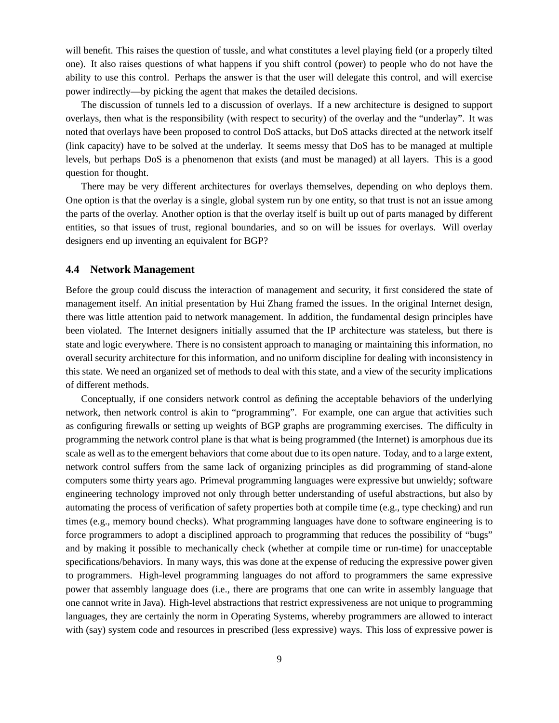will benefit. This raises the question of tussle, and what constitutes a level playing field (or a properly tilted one). It also raises questions of what happens if you shift control (power) to people who do not have the ability to use this control. Perhaps the answer is that the user will delegate this control, and will exercise power indirectly—by picking the agent that makes the detailed decisions.

The discussion of tunnels led to a discussion of overlays. If a new architecture is designed to support overlays, then what is the responsibility (with respect to security) of the overlay and the "underlay". It was noted that overlays have been proposed to control DoS attacks, but DoS attacks directed at the network itself (link capacity) have to be solved at the underlay. It seems messy that DoS has to be managed at multiple levels, but perhaps DoS is a phenomenon that exists (and must be managed) at all layers. This is a good question for thought.

There may be very different architectures for overlays themselves, depending on who deploys them. One option is that the overlay is a single, global system run by one entity, so that trust is not an issue among the parts of the overlay. Another option is that the overlay itself is built up out of parts managed by different entities, so that issues of trust, regional boundaries, and so on will be issues for overlays. Will overlay designers end up inventing an equivalent for BGP?

#### **4.4 Network Management**

Before the group could discuss the interaction of management and security, it first considered the state of management itself. An initial presentation by Hui Zhang framed the issues. In the original Internet design, there was little attention paid to network management. In addition, the fundamental design principles have been violated. The Internet designers initially assumed that the IP architecture was stateless, but there is state and logic everywhere. There is no consistent approach to managing or maintaining this information, no overall security architecture for this information, and no uniform discipline for dealing with inconsistency in this state. We need an organized set of methods to deal with this state, and a view of the security implications of different methods.

Conceptually, if one considers network control as defining the acceptable behaviors of the underlying network, then network control is akin to "programming". For example, one can argue that activities such as configuring firewalls or setting up weights of BGP graphs are programming exercises. The difficulty in programming the network control plane is that what is being programmed (the Internet) is amorphous due its scale as well as to the emergent behaviors that come about due to its open nature. Today, and to a large extent, network control suffers from the same lack of organizing principles as did programming of stand-alone computers some thirty years ago. Primeval programming languages were expressive but unwieldy; software engineering technology improved not only through better understanding of useful abstractions, but also by automating the process of verification of safety properties both at compile time (e.g., type checking) and run times (e.g., memory bound checks). What programming languages have done to software engineering is to force programmers to adopt a disciplined approach to programming that reduces the possibility of "bugs" and by making it possible to mechanically check (whether at compile time or run-time) for unacceptable specifications/behaviors. In many ways, this was done at the expense of reducing the expressive power given to programmers. High-level programming languages do not afford to programmers the same expressive power that assembly language does (i.e., there are programs that one can write in assembly language that one cannot write in Java). High-level abstractions that restrict expressiveness are not unique to programming languages, they are certainly the norm in Operating Systems, whereby programmers are allowed to interact with (say) system code and resources in prescribed (less expressive) ways. This loss of expressive power is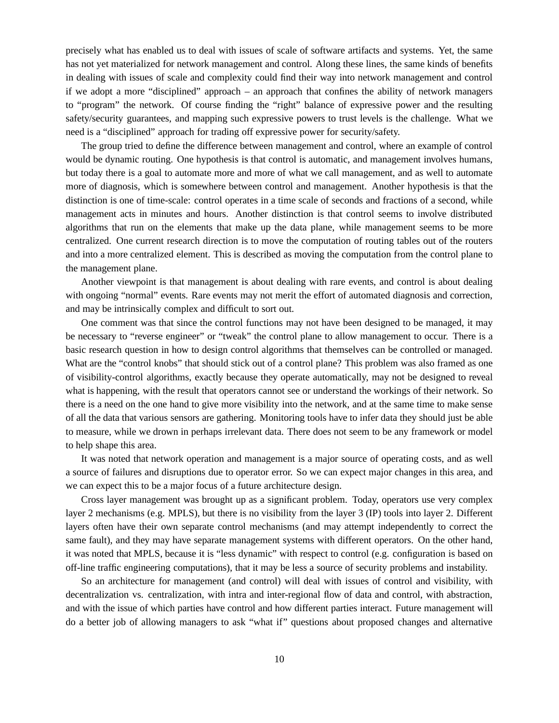precisely what has enabled us to deal with issues of scale of software artifacts and systems. Yet, the same has not yet materialized for network management and control. Along these lines, the same kinds of benefits in dealing with issues of scale and complexity could find their way into network management and control if we adopt a more "disciplined" approach – an approach that confines the ability of network managers to "program" the network. Of course finding the "right" balance of expressive power and the resulting safety/security guarantees, and mapping such expressive powers to trust levels is the challenge. What we need is a "disciplined" approach for trading off expressive power for security/safety.

The group tried to define the difference between management and control, where an example of control would be dynamic routing. One hypothesis is that control is automatic, and management involves humans, but today there is a goal to automate more and more of what we call management, and as well to automate more of diagnosis, which is somewhere between control and management. Another hypothesis is that the distinction is one of time-scale: control operates in a time scale of seconds and fractions of a second, while management acts in minutes and hours. Another distinction is that control seems to involve distributed algorithms that run on the elements that make up the data plane, while management seems to be more centralized. One current research direction is to move the computation of routing tables out of the routers and into a more centralized element. This is described as moving the computation from the control plane to the management plane.

Another viewpoint is that management is about dealing with rare events, and control is about dealing with ongoing "normal" events. Rare events may not merit the effort of automated diagnosis and correction, and may be intrinsically complex and difficult to sort out.

One comment was that since the control functions may not have been designed to be managed, it may be necessary to "reverse engineer" or "tweak" the control plane to allow management to occur. There is a basic research question in how to design control algorithms that themselves can be controlled or managed. What are the "control knobs" that should stick out of a control plane? This problem was also framed as one of visibility-control algorithms, exactly because they operate automatically, may not be designed to reveal what is happening, with the result that operators cannot see or understand the workings of their network. So there is a need on the one hand to give more visibility into the network, and at the same time to make sense of all the data that various sensors are gathering. Monitoring tools have to infer data they should just be able to measure, while we drown in perhaps irrelevant data. There does not seem to be any framework or model to help shape this area.

It was noted that network operation and management is a major source of operating costs, and as well a source of failures and disruptions due to operator error. So we can expect major changes in this area, and we can expect this to be a major focus of a future architecture design.

Cross layer management was brought up as a significant problem. Today, operators use very complex layer 2 mechanisms (e.g. MPLS), but there is no visibility from the layer 3 (IP) tools into layer 2. Different layers often have their own separate control mechanisms (and may attempt independently to correct the same fault), and they may have separate management systems with different operators. On the other hand, it was noted that MPLS, because it is "less dynamic" with respect to control (e.g. configuration is based on off-line traffic engineering computations), that it may be less a source of security problems and instability.

So an architecture for management (and control) will deal with issues of control and visibility, with decentralization vs. centralization, with intra and inter-regional flow of data and control, with abstraction, and with the issue of which parties have control and how different parties interact. Future management will do a better job of allowing managers to ask "what if" questions about proposed changes and alternative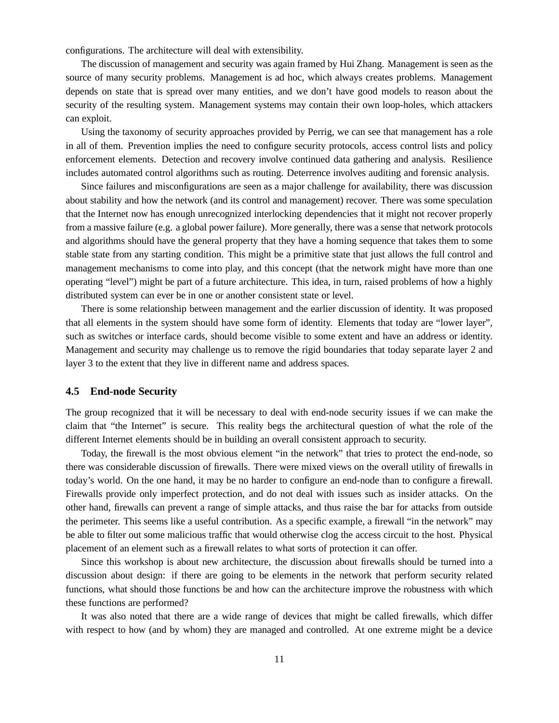configurations. The architecture will deal with extensibility.

The discussion of management and security was again framed by Hui Zhang. Management is seen as the source of many security problems. Management is ad hoc, which always creates problems. Management depends on state that is spread over many entities, and we don't have good models to reason about the security of the resulting system. Management systems may contain their own loop-holes, which attackers can exploit.

Using the taxonomy of security approaches provided by Perrig, we can see that management has a role in all of them. Prevention implies the need to configure security protocols, access control lists and policy enforcement elements. Detection and recovery involve continued data gathering and analysis. Resilience includes automated control algorithms such as routing. Deterrence involves auditing and forensic analysis.

Since failures and misconfigurations are seen as a major challenge for availability, there was discussion about stability and how the network (and its control and management) recover. There was some speculation that the Internet now has enough unrecognized interlocking dependencies that it might not recover properly from a massive failure (e.g. a global power failure). More generally, there was a sense that network protocols and algorithms should have the general property that they have a homing sequence that takes them to some stable state from any starting condition. This might be a primitive state that just allows the full control and management mechanisms to come into play, and this concept (that the network might have more than one operating "level") might be part of a future architecture. This idea, in turn, raised problems of how a highly distributed system can ever be in one or another consistent state or level.

There is some relationship between management and the earlier discussion of identity. It was proposed that all elements in the system should have some form of identity. Elements that today are "lower layer", such as switches or interface cards, should become visible to some extent and have an address or identity. Management and security may challenge us to remove the rigid boundaries that today separate layer 2 and layer 3 to the extent that they live in different name and address spaces.

### **4.5 End-node Security**

The group recognized that it will be necessary to deal with end-node security issues if we can make the claim that "the Internet" is secure. This reality begs the architectural question of what the role of the different Internet elements should be in building an overall consistent approach to security.

Today, the firewall is the most obvious element "in the network" that tries to protect the end-node, so there was considerable discussion of firewalls. There were mixed views on the overall utility of firewalls in today's world. On the one hand, it may be no harder to configure an end-node than to configure a firewall. Firewalls provide only imperfect protection, and do not deal with issues such as insider attacks. On the other hand, firewalls can prevent a range of simple attacks, and thus raise the bar for attacks from outside the perimeter. This seems like a useful contribution. As a specific example, a firewall "in the network" may be able to filter out some malicious traffic that would otherwise clog the access circuit to the host. Physical placement of an element such as a firewall relates to what sorts of protection it can offer.

Since this workshop is about new architecture, the discussion about firewalls should be turned into a discussion about design: if there are going to be elements in the network that perform security related functions, what should those functions be and how can the architecture improve the robustness with which these functions are performed?

It was also noted that there are a wide range of devices that might be called firewalls, which differ with respect to how (and by whom) they are managed and controlled. At one extreme might be a device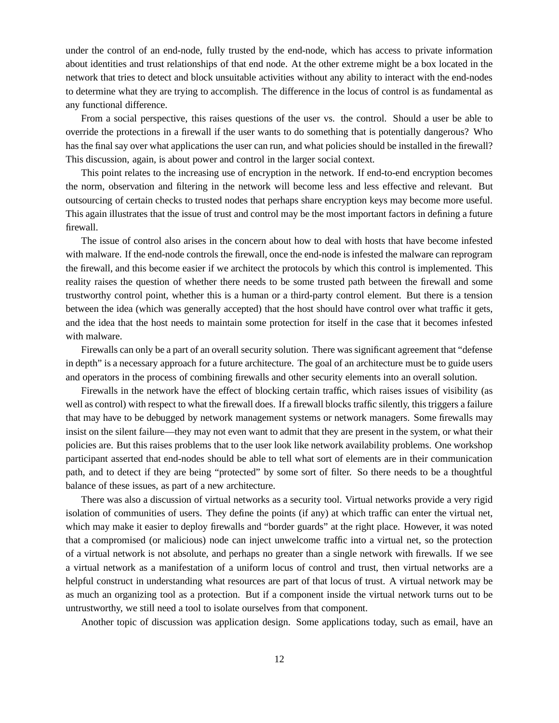under the control of an end-node, fully trusted by the end-node, which has access to private information about identities and trust relationships of that end node. At the other extreme might be a box located in the network that tries to detect and block unsuitable activities without any ability to interact with the end-nodes to determine what they are trying to accomplish. The difference in the locus of control is as fundamental as any functional difference.

From a social perspective, this raises questions of the user vs. the control. Should a user be able to override the protections in a firewall if the user wants to do something that is potentially dangerous? Who has the final say over what applications the user can run, and what policies should be installed in the firewall? This discussion, again, is about power and control in the larger social context.

This point relates to the increasing use of encryption in the network. If end-to-end encryption becomes the norm, observation and filtering in the network will become less and less effective and relevant. But outsourcing of certain checks to trusted nodes that perhaps share encryption keys may become more useful. This again illustrates that the issue of trust and control may be the most important factors in defining a future firewall.

The issue of control also arises in the concern about how to deal with hosts that have become infested with malware. If the end-node controls the firewall, once the end-node is infested the malware can reprogram the firewall, and this become easier if we architect the protocols by which this control is implemented. This reality raises the question of whether there needs to be some trusted path between the firewall and some trustworthy control point, whether this is a human or a third-party control element. But there is a tension between the idea (which was generally accepted) that the host should have control over what traffic it gets, and the idea that the host needs to maintain some protection for itself in the case that it becomes infested with malware.

Firewalls can only be a part of an overall security solution. There was significant agreement that "defense in depth" is a necessary approach for a future architecture. The goal of an architecture must be to guide users and operators in the process of combining firewalls and other security elements into an overall solution.

Firewalls in the network have the effect of blocking certain traffic, which raises issues of visibility (as well as control) with respect to what the firewall does. If a firewall blocks traffic silently, this triggers a failure that may have to be debugged by network management systems or network managers. Some firewalls may insist on the silent failure—they may not even want to admit that they are present in the system, or what their policies are. But this raises problems that to the user look like network availability problems. One workshop participant asserted that end-nodes should be able to tell what sort of elements are in their communication path, and to detect if they are being "protected" by some sort of filter. So there needs to be a thoughtful balance of these issues, as part of a new architecture.

There was also a discussion of virtual networks as a security tool. Virtual networks provide a very rigid isolation of communities of users. They define the points (if any) at which traffic can enter the virtual net, which may make it easier to deploy firewalls and "border guards" at the right place. However, it was noted that a compromised (or malicious) node can inject unwelcome traffic into a virtual net, so the protection of a virtual network is not absolute, and perhaps no greater than a single network with firewalls. If we see a virtual network as a manifestation of a uniform locus of control and trust, then virtual networks are a helpful construct in understanding what resources are part of that locus of trust. A virtual network may be as much an organizing tool as a protection. But if a component inside the virtual network turns out to be untrustworthy, we still need a tool to isolate ourselves from that component.

Another topic of discussion was application design. Some applications today, such as email, have an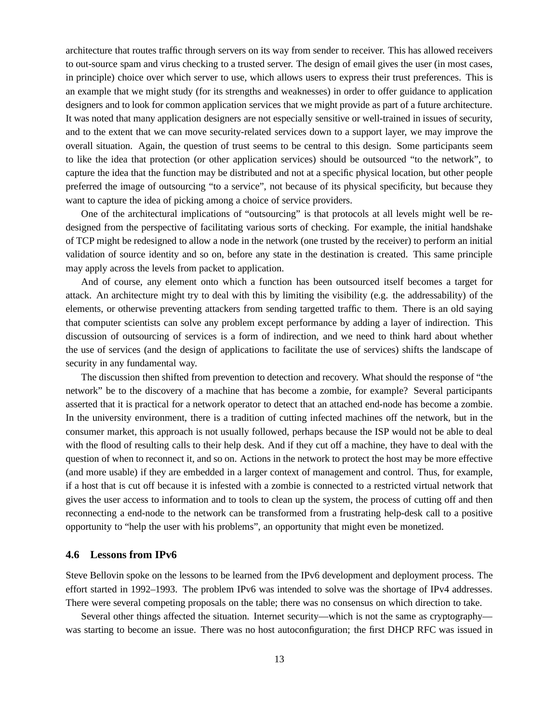architecture that routes traffic through servers on its way from sender to receiver. This has allowed receivers to out-source spam and virus checking to a trusted server. The design of email gives the user (in most cases, in principle) choice over which server to use, which allows users to express their trust preferences. This is an example that we might study (for its strengths and weaknesses) in order to offer guidance to application designers and to look for common application services that we might provide as part of a future architecture. It was noted that many application designers are not especially sensitive or well-trained in issues of security, and to the extent that we can move security-related services down to a support layer, we may improve the overall situation. Again, the question of trust seems to be central to this design. Some participants seem to like the idea that protection (or other application services) should be outsourced "to the network", to capture the idea that the function may be distributed and not at a specific physical location, but other people preferred the image of outsourcing "to a service", not because of its physical specificity, but because they want to capture the idea of picking among a choice of service providers.

One of the architectural implications of "outsourcing" is that protocols at all levels might well be redesigned from the perspective of facilitating various sorts of checking. For example, the initial handshake of TCP might be redesigned to allow a node in the network (one trusted by the receiver) to perform an initial validation of source identity and so on, before any state in the destination is created. This same principle may apply across the levels from packet to application.

And of course, any element onto which a function has been outsourced itself becomes a target for attack. An architecture might try to deal with this by limiting the visibility (e.g. the addressability) of the elements, or otherwise preventing attackers from sending targetted traffic to them. There is an old saying that computer scientists can solve any problem except performance by adding a layer of indirection. This discussion of outsourcing of services is a form of indirection, and we need to think hard about whether the use of services (and the design of applications to facilitate the use of services) shifts the landscape of security in any fundamental way.

The discussion then shifted from prevention to detection and recovery. What should the response of "the network" be to the discovery of a machine that has become a zombie, for example? Several participants asserted that it is practical for a network operator to detect that an attached end-node has become a zombie. In the university environment, there is a tradition of cutting infected machines off the network, but in the consumer market, this approach is not usually followed, perhaps because the ISP would not be able to deal with the flood of resulting calls to their help desk. And if they cut off a machine, they have to deal with the question of when to reconnect it, and so on. Actions in the network to protect the host may be more effective (and more usable) if they are embedded in a larger context of management and control. Thus, for example, if a host that is cut off because it is infested with a zombie is connected to a restricted virtual network that gives the user access to information and to tools to clean up the system, the process of cutting off and then reconnecting a end-node to the network can be transformed from a frustrating help-desk call to a positive opportunity to "help the user with his problems", an opportunity that might even be monetized.

### **4.6 Lessons from IPv6**

Steve Bellovin spoke on the lessons to be learned from the IPv6 development and deployment process. The effort started in 1992–1993. The problem IPv6 was intended to solve was the shortage of IPv4 addresses. There were several competing proposals on the table; there was no consensus on which direction to take.

Several other things affected the situation. Internet security—which is not the same as cryptography was starting to become an issue. There was no host autoconfiguration; the first DHCP RFC was issued in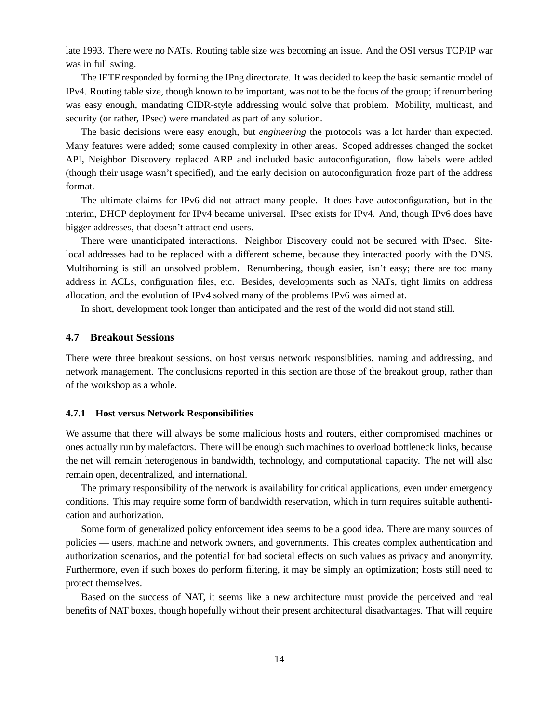late 1993. There were no NATs. Routing table size was becoming an issue. And the OSI versus TCP/IP war was in full swing.

The IETF responded by forming the IPng directorate. It was decided to keep the basic semantic model of IPv4. Routing table size, though known to be important, was not to be the focus of the group; if renumbering was easy enough, mandating CIDR-style addressing would solve that problem. Mobility, multicast, and security (or rather, IPsec) were mandated as part of any solution.

The basic decisions were easy enough, but *engineering* the protocols was a lot harder than expected. Many features were added; some caused complexity in other areas. Scoped addresses changed the socket API, Neighbor Discovery replaced ARP and included basic autoconfiguration, flow labels were added (though their usage wasn't specified), and the early decision on autoconfiguration froze part of the address format.

The ultimate claims for IPv6 did not attract many people. It does have autoconfiguration, but in the interim, DHCP deployment for IPv4 became universal. IPsec exists for IPv4. And, though IPv6 does have bigger addresses, that doesn't attract end-users.

There were unanticipated interactions. Neighbor Discovery could not be secured with IPsec. Sitelocal addresses had to be replaced with a different scheme, because they interacted poorly with the DNS. Multihoming is still an unsolved problem. Renumbering, though easier, isn't easy; there are too many address in ACLs, configuration files, etc. Besides, developments such as NATs, tight limits on address allocation, and the evolution of IPv4 solved many of the problems IPv6 was aimed at.

In short, development took longer than anticipated and the rest of the world did not stand still.

### **4.7 Breakout Sessions**

There were three breakout sessions, on host versus network responsiblities, naming and addressing, and network management. The conclusions reported in this section are those of the breakout group, rather than of the workshop as a whole.

#### **4.7.1 Host versus Network Responsibilities**

We assume that there will always be some malicious hosts and routers, either compromised machines or ones actually run by malefactors. There will be enough such machines to overload bottleneck links, because the net will remain heterogenous in bandwidth, technology, and computational capacity. The net will also remain open, decentralized, and international.

The primary responsibility of the network is availability for critical applications, even under emergency conditions. This may require some form of bandwidth reservation, which in turn requires suitable authentication and authorization.

Some form of generalized policy enforcement idea seems to be a good idea. There are many sources of policies — users, machine and network owners, and governments. This creates complex authentication and authorization scenarios, and the potential for bad societal effects on such values as privacy and anonymity. Furthermore, even if such boxes do perform filtering, it may be simply an optimization; hosts still need to protect themselves.

Based on the success of NAT, it seems like a new architecture must provide the perceived and real benefits of NAT boxes, though hopefully without their present architectural disadvantages. That will require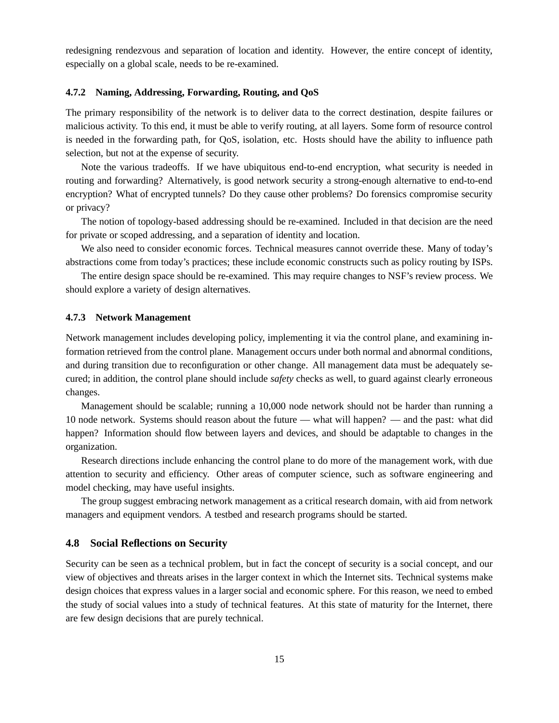redesigning rendezvous and separation of location and identity. However, the entire concept of identity, especially on a global scale, needs to be re-examined.

#### **4.7.2 Naming, Addressing, Forwarding, Routing, and QoS**

The primary responsibility of the network is to deliver data to the correct destination, despite failures or malicious activity. To this end, it must be able to verify routing, at all layers. Some form of resource control is needed in the forwarding path, for QoS, isolation, etc. Hosts should have the ability to influence path selection, but not at the expense of security.

Note the various tradeoffs. If we have ubiquitous end-to-end encryption, what security is needed in routing and forwarding? Alternatively, is good network security a strong-enough alternative to end-to-end encryption? What of encrypted tunnels? Do they cause other problems? Do forensics compromise security or privacy?

The notion of topology-based addressing should be re-examined. Included in that decision are the need for private or scoped addressing, and a separation of identity and location.

We also need to consider economic forces. Technical measures cannot override these. Many of today's abstractions come from today's practices; these include economic constructs such as policy routing by ISPs.

The entire design space should be re-examined. This may require changes to NSF's review process. We should explore a variety of design alternatives.

#### **4.7.3 Network Management**

Network management includes developing policy, implementing it via the control plane, and examining information retrieved from the control plane. Management occurs under both normal and abnormal conditions, and during transition due to reconfiguration or other change. All management data must be adequately secured; in addition, the control plane should include *safety* checks as well, to guard against clearly erroneous changes.

Management should be scalable; running a 10,000 node network should not be harder than running a 10 node network. Systems should reason about the future — what will happen? — and the past: what did happen? Information should flow between layers and devices, and should be adaptable to changes in the organization.

Research directions include enhancing the control plane to do more of the management work, with due attention to security and efficiency. Other areas of computer science, such as software engineering and model checking, may have useful insights.

The group suggest embracing network management as a critical research domain, with aid from network managers and equipment vendors. A testbed and research programs should be started.

### **4.8 Social Reflections on Security**

Security can be seen as a technical problem, but in fact the concept of security is a social concept, and our view of objectives and threats arises in the larger context in which the Internet sits. Technical systems make design choices that express values in a larger social and economic sphere. For this reason, we need to embed the study of social values into a study of technical features. At this state of maturity for the Internet, there are few design decisions that are purely technical.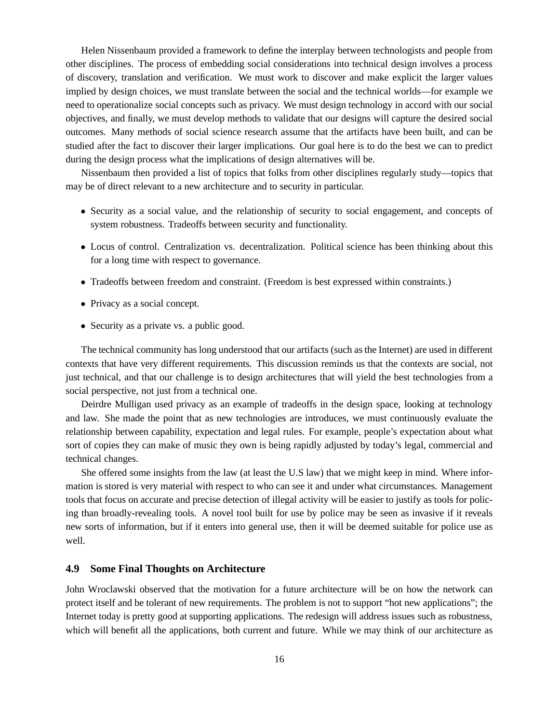Helen Nissenbaum provided a framework to define the interplay between technologists and people from other disciplines. The process of embedding social considerations into technical design involves a process of discovery, translation and verification. We must work to discover and make explicit the larger values implied by design choices, we must translate between the social and the technical worlds—for example we need to operationalize social concepts such as privacy. We must design technology in accord with our social objectives, and finally, we must develop methods to validate that our designs will capture the desired social outcomes. Many methods of social science research assume that the artifacts have been built, and can be studied after the fact to discover their larger implications. Our goal here is to do the best we can to predict during the design process what the implications of design alternatives will be.

Nissenbaum then provided a list of topics that folks from other disciplines regularly study—topics that may be of direct relevant to a new architecture and to security in particular.

- Security as a social value, and the relationship of security to social engagement, and concepts of system robustness. Tradeoffs between security and functionality.
- Locus of control. Centralization vs. decentralization. Political science has been thinking about this for a long time with respect to governance.
- Tradeoffs between freedom and constraint. (Freedom is best expressed within constraints.)
- Privacy as a social concept.
- Security as a private vs. a public good.

The technical community has long understood that our artifacts (such as the Internet) are used in different contexts that have very different requirements. This discussion reminds us that the contexts are social, not just technical, and that our challenge is to design architectures that will yield the best technologies from a social perspective, not just from a technical one.

Deirdre Mulligan used privacy as an example of tradeoffs in the design space, looking at technology and law. She made the point that as new technologies are introduces, we must continuously evaluate the relationship between capability, expectation and legal rules. For example, people's expectation about what sort of copies they can make of music they own is being rapidly adjusted by today's legal, commercial and technical changes.

She offered some insights from the law (at least the U.S law) that we might keep in mind. Where information is stored is very material with respect to who can see it and under what circumstances. Management tools that focus on accurate and precise detection of illegal activity will be easier to justify as tools for policing than broadly-revealing tools. A novel tool built for use by police may be seen as invasive if it reveals new sorts of information, but if it enters into general use, then it will be deemed suitable for police use as well.

### **4.9 Some Final Thoughts on Architecture**

John Wroclawski observed that the motivation for a future architecture will be on how the network can protect itself and be tolerant of new requirements. The problem is not to support "hot new applications"; the Internet today is pretty good at supporting applications. The redesign will address issues such as robustness, which will benefit all the applications, both current and future. While we may think of our architecture as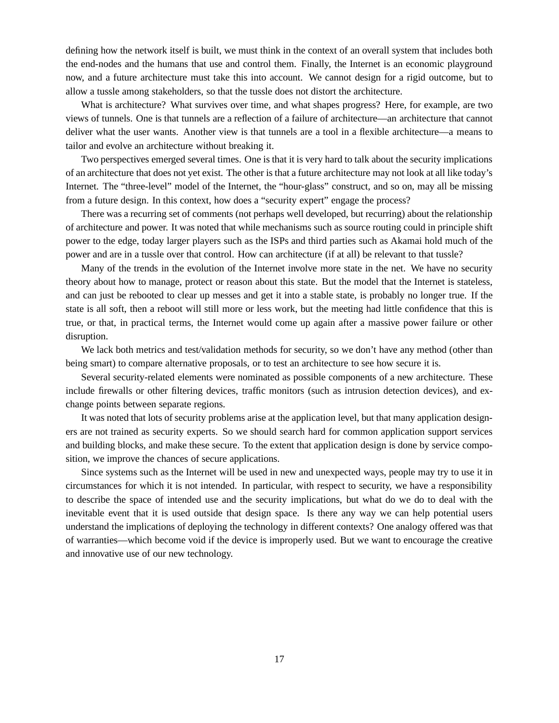defining how the network itself is built, we must think in the context of an overall system that includes both the end-nodes and the humans that use and control them. Finally, the Internet is an economic playground now, and a future architecture must take this into account. We cannot design for a rigid outcome, but to allow a tussle among stakeholders, so that the tussle does not distort the architecture.

What is architecture? What survives over time, and what shapes progress? Here, for example, are two views of tunnels. One is that tunnels are a reflection of a failure of architecture—an architecture that cannot deliver what the user wants. Another view is that tunnels are a tool in a flexible architecture—a means to tailor and evolve an architecture without breaking it.

Two perspectives emerged several times. One is that it is very hard to talk about the security implications of an architecture that does not yet exist. The other is that a future architecture may not look at all like today's Internet. The "three-level" model of the Internet, the "hour-glass" construct, and so on, may all be missing from a future design. In this context, how does a "security expert" engage the process?

There was a recurring set of comments (not perhaps well developed, but recurring) about the relationship of architecture and power. It was noted that while mechanisms such as source routing could in principle shift power to the edge, today larger players such as the ISPs and third parties such as Akamai hold much of the power and are in a tussle over that control. How can architecture (if at all) be relevant to that tussle?

Many of the trends in the evolution of the Internet involve more state in the net. We have no security theory about how to manage, protect or reason about this state. But the model that the Internet is stateless, and can just be rebooted to clear up messes and get it into a stable state, is probably no longer true. If the state is all soft, then a reboot will still more or less work, but the meeting had little confidence that this is true, or that, in practical terms, the Internet would come up again after a massive power failure or other disruption.

We lack both metrics and test/validation methods for security, so we don't have any method (other than being smart) to compare alternative proposals, or to test an architecture to see how secure it is.

Several security-related elements were nominated as possible components of a new architecture. These include firewalls or other filtering devices, traffic monitors (such as intrusion detection devices), and exchange points between separate regions.

It was noted that lots of security problems arise at the application level, but that many application designers are not trained as security experts. So we should search hard for common application support services and building blocks, and make these secure. To the extent that application design is done by service composition, we improve the chances of secure applications.

Since systems such as the Internet will be used in new and unexpected ways, people may try to use it in circumstances for which it is not intended. In particular, with respect to security, we have a responsibility to describe the space of intended use and the security implications, but what do we do to deal with the inevitable event that it is used outside that design space. Is there any way we can help potential users understand the implications of deploying the technology in different contexts? One analogy offered was that of warranties—which become void if the device is improperly used. But we want to encourage the creative and innovative use of our new technology.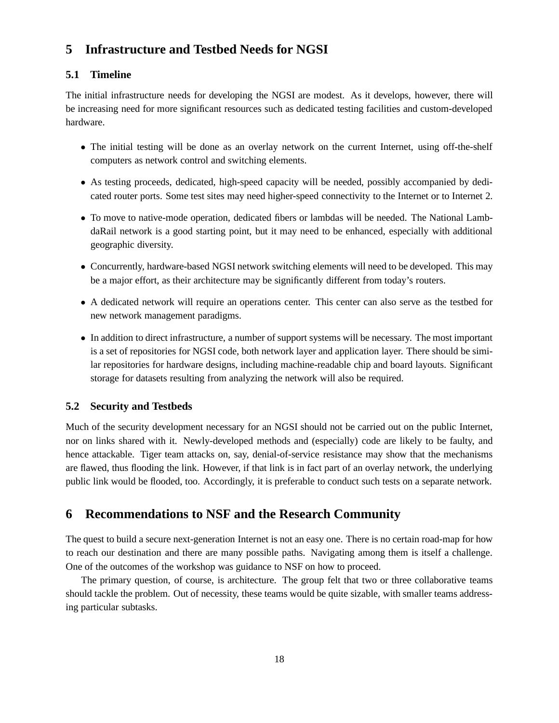# **5 Infrastructure and Testbed Needs for NGSI**

### **5.1 Timeline**

The initial infrastructure needs for developing the NGSI are modest. As it develops, however, there will be increasing need for more significant resources such as dedicated testing facilities and custom-developed hardware.

- The initial testing will be done as an overlay network on the current Internet, using off-the-shelf computers as network control and switching elements.
- As testing proceeds, dedicated, high-speed capacity will be needed, possibly accompanied by dedicated router ports. Some test sites may need higher-speed connectivity to the Internet or to Internet 2.
- To move to native-mode operation, dedicated fibers or lambdas will be needed. The National LambdaRail network is a good starting point, but it may need to be enhanced, especially with additional geographic diversity.
- Concurrently, hardware-based NGSI network switching elements will need to be developed. This may be a major effort, as their architecture may be significantly different from today's routers.
- A dedicated network will require an operations center. This center can also serve as the testbed for new network management paradigms.
- In addition to direct infrastructure, a number of support systems will be necessary. The most important is a set of repositories for NGSI code, both network layer and application layer. There should be similar repositories for hardware designs, including machine-readable chip and board layouts. Significant storage for datasets resulting from analyzing the network will also be required.

### **5.2 Security and Testbeds**

Much of the security development necessary for an NGSI should not be carried out on the public Internet, nor on links shared with it. Newly-developed methods and (especially) code are likely to be faulty, and hence attackable. Tiger team attacks on, say, denial-of-service resistance may show that the mechanisms are flawed, thus flooding the link. However, if that link is in fact part of an overlay network, the underlying public link would be flooded, too. Accordingly, it is preferable to conduct such tests on a separate network.

# **6 Recommendations to NSF and the Research Community**

The quest to build a secure next-generation Internet is not an easy one. There is no certain road-map for how to reach our destination and there are many possible paths. Navigating among them is itself a challenge. One of the outcomes of the workshop was guidance to NSF on how to proceed.

The primary question, of course, is architecture. The group felt that two or three collaborative teams should tackle the problem. Out of necessity, these teams would be quite sizable, with smaller teams addressing particular subtasks.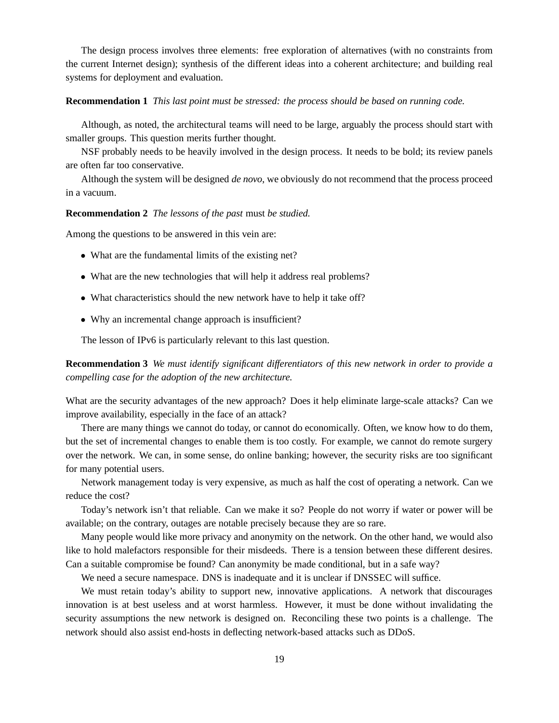The design process involves three elements: free exploration of alternatives (with no constraints from the current Internet design); synthesis of the different ideas into a coherent architecture; and building real systems for deployment and evaluation.

#### **Recommendation 1** *This last point must be stressed: the process should be based on running code.*

Although, as noted, the architectural teams will need to be large, arguably the process should start with smaller groups. This question merits further thought.

NSF probably needs to be heavily involved in the design process. It needs to be bold; its review panels are often far too conservative.

Although the system will be designed *de novo*, we obviously do not recommend that the process proceed in a vacuum.

### **Recommendation 2** *The lessons of the past* must *be studied.*

Among the questions to be answered in this vein are:

- What are the fundamental limits of the existing net?
- What are the new technologies that will help it address real problems?
- What characteristics should the new network have to help it take off?
- Why an incremental change approach is insufficient?

The lesson of IPv6 is particularly relevant to this last question.

**Recommendation 3** *We must identify significant differentiators of this new network in order to provide a compelling case for the adoption of the new architecture.*

What are the security advantages of the new approach? Does it help eliminate large-scale attacks? Can we improve availability, especially in the face of an attack?

There are many things we cannot do today, or cannot do economically. Often, we know how to do them, but the set of incremental changes to enable them is too costly. For example, we cannot do remote surgery over the network. We can, in some sense, do online banking; however, the security risks are too significant for many potential users.

Network management today is very expensive, as much as half the cost of operating a network. Can we reduce the cost?

Today's network isn't that reliable. Can we make it so? People do not worry if water or power will be available; on the contrary, outages are notable precisely because they are so rare.

Many people would like more privacy and anonymity on the network. On the other hand, we would also like to hold malefactors responsible for their misdeeds. There is a tension between these different desires. Can a suitable compromise be found? Can anonymity be made conditional, but in a safe way?

We need a secure namespace. DNS is inadequate and it is unclear if DNSSEC will suffice.

We must retain today's ability to support new, innovative applications. A network that discourages innovation is at best useless and at worst harmless. However, it must be done without invalidating the security assumptions the new network is designed on. Reconciling these two points is a challenge. The network should also assist end-hosts in deflecting network-based attacks such as DDoS.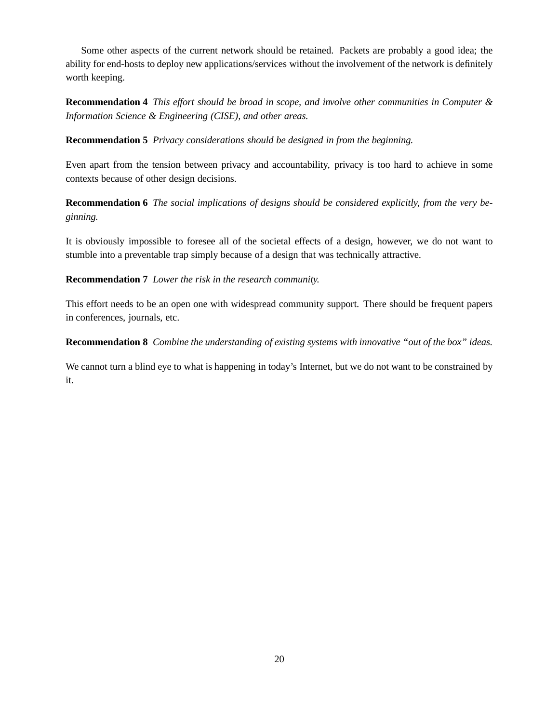Some other aspects of the current network should be retained. Packets are probably a good idea; the ability for end-hosts to deploy new applications/services without the involvement of the network is definitely worth keeping.

**Recommendation 4** *This effort should be broad in scope, and involve other communities in Computer & Information Science & Engineering (CISE), and other areas.*

**Recommendation 5** *Privacy considerations should be designed in from the beginning.*

Even apart from the tension between privacy and accountability, privacy is too hard to achieve in some contexts because of other design decisions.

**Recommendation 6** *The social implications of designs should be considered explicitly, from the very beginning.*

It is obviously impossible to foresee all of the societal effects of a design, however, we do not want to stumble into a preventable trap simply because of a design that was technically attractive.

**Recommendation 7** *Lower the risk in the research community.*

This effort needs to be an open one with widespread community support. There should be frequent papers in conferences, journals, etc.

**Recommendation 8** *Combine the understanding of existing systems with innovative "out of the box" ideas.*

We cannot turn a blind eye to what is happening in today's Internet, but we do not want to be constrained by it.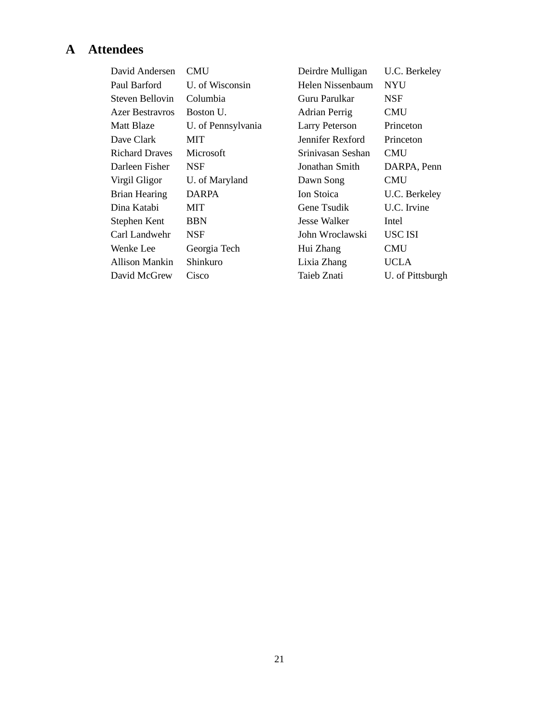# **A Attendees**

| <b>CMU</b>         |
|--------------------|
| U. of Wisconsin    |
| Columbia           |
| Boston U.          |
| U. of Pennsylvania |
| MIT                |
| Microsoft          |
| NSF                |
| U. of Maryland     |
| <b>DARPA</b>       |
| MIT                |
| <b>BBN</b>         |
| NSF                |
| Georgia Tech       |
| Shinkuro           |
| Cisco              |
|                    |

Deirdre Mulligan U.C. Berkeley Helen Nissenbaum NYU Guru Parulkar NSF Adrian Perrig CMU Larry Peterson Princeton Jennifer Rexford Princeton Srinivasan Seshan CMU Jonathan Smith DARPA, Penn Dawn Song CMU Ion Stoica U.C. Berkeley Gene Tsudik U.C. Irvine Jesse Walker Intel John Wroclawski USC ISI Hui Zhang CMU Lixia Zhang UCLA Taieb Znati U. of Pittsburgh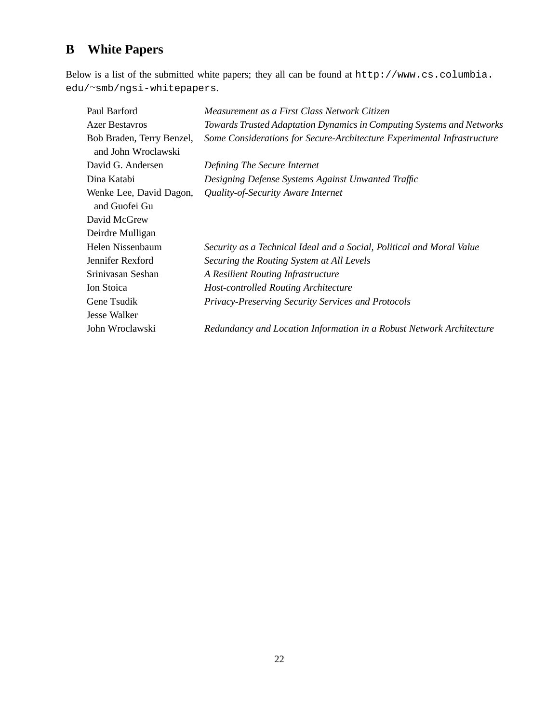# **B White Papers**

Below is a list of the submitted white papers; they all can be found at http://www.cs.columbia. edu/∼smb/ngsi-whitepapers.

| Paul Barford                                     | Measurement as a First Class Network Citizen                            |
|--------------------------------------------------|-------------------------------------------------------------------------|
| <b>Azer Bestavros</b>                            | Towards Trusted Adaptation Dynamics in Computing Systems and Networks   |
| Bob Braden, Terry Benzel,<br>and John Wroclawski | Some Considerations for Secure-Architecture Experimental Infrastructure |
| David G. Andersen                                | Defining The Secure Internet                                            |
| Dina Katabi                                      | Designing Defense Systems Against Unwanted Traffic                      |
| Wenke Lee, David Dagon,<br>and Guofei Gu         | Quality-of-Security Aware Internet                                      |
| David McGrew                                     |                                                                         |
| Deirdre Mulligan                                 |                                                                         |
| Helen Nissenbaum                                 | Security as a Technical Ideal and a Social, Political and Moral Value   |
| Jennifer Rexford                                 | Securing the Routing System at All Levels                               |
| Srinivasan Seshan                                | A Resilient Routing Infrastructure                                      |
| Ion Stoica                                       | <b>Host-controlled Routing Architecture</b>                             |
| Gene Tsudik                                      | Privacy-Preserving Security Services and Protocols                      |
| Jesse Walker                                     |                                                                         |
| John Wroclawski                                  | Redundancy and Location Information in a Robust Network Architecture    |
|                                                  |                                                                         |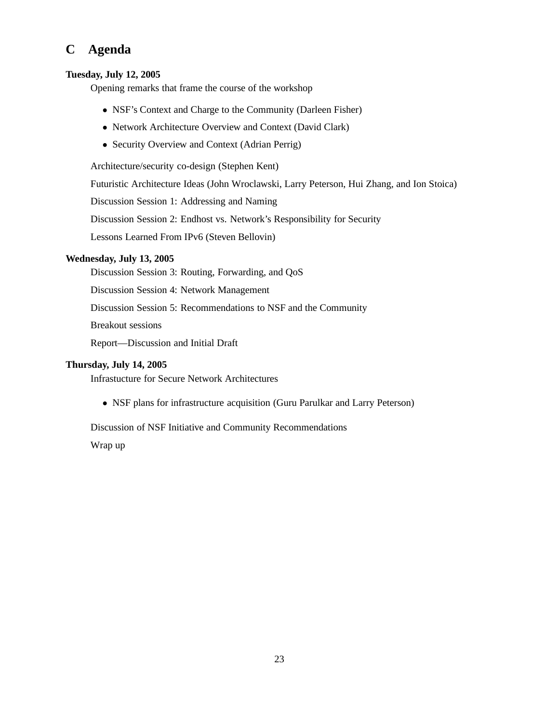# **C Agenda**

### **Tuesday, July 12, 2005**

Opening remarks that frame the course of the workshop

- NSF's Context and Charge to the Community (Darleen Fisher)
- Network Architecture Overview and Context (David Clark)
- Security Overview and Context (Adrian Perrig)

Architecture/security co-design (Stephen Kent)

Futuristic Architecture Ideas (John Wroclawski, Larry Peterson, Hui Zhang, and Ion Stoica)

Discussion Session 1: Addressing and Naming

Discussion Session 2: Endhost vs. Network's Responsibility for Security

Lessons Learned From IPv6 (Steven Bellovin)

## **Wednesday, July 13, 2005**

Discussion Session 3: Routing, Forwarding, and QoS

Discussion Session 4: Network Management

Discussion Session 5: Recommendations to NSF and the Community

Breakout sessions

Report—Discussion and Initial Draft

### **Thursday, July 14, 2005**

Infrastucture for Secure Network Architectures

• NSF plans for infrastructure acquisition (Guru Parulkar and Larry Peterson)

Discussion of NSF Initiative and Community Recommendations

Wrap up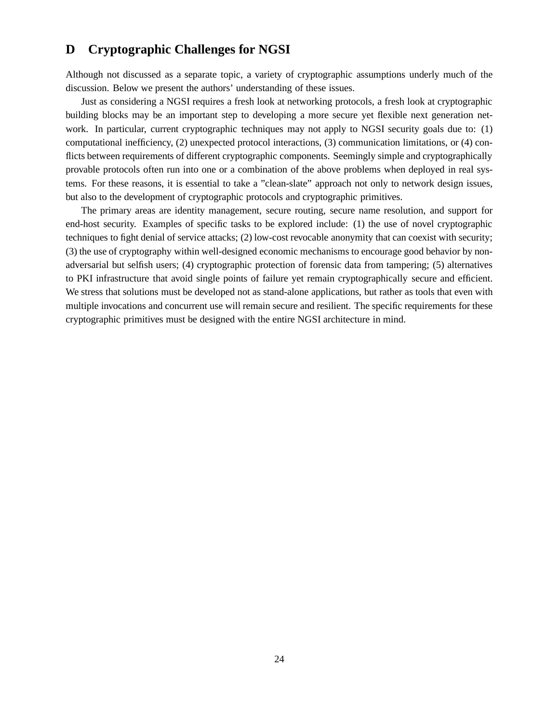# **D Cryptographic Challenges for NGSI**

Although not discussed as a separate topic, a variety of cryptographic assumptions underly much of the discussion. Below we present the authors' understanding of these issues.

Just as considering a NGSI requires a fresh look at networking protocols, a fresh look at cryptographic building blocks may be an important step to developing a more secure yet flexible next generation network. In particular, current cryptographic techniques may not apply to NGSI security goals due to: (1) computational inefficiency, (2) unexpected protocol interactions, (3) communication limitations, or (4) conflicts between requirements of different cryptographic components. Seemingly simple and cryptographically provable protocols often run into one or a combination of the above problems when deployed in real systems. For these reasons, it is essential to take a "clean-slate" approach not only to network design issues, but also to the development of cryptographic protocols and cryptographic primitives.

The primary areas are identity management, secure routing, secure name resolution, and support for end-host security. Examples of specific tasks to be explored include: (1) the use of novel cryptographic techniques to fight denial of service attacks; (2) low-cost revocable anonymity that can coexist with security; (3) the use of cryptography within well-designed economic mechanisms to encourage good behavior by nonadversarial but selfish users; (4) cryptographic protection of forensic data from tampering; (5) alternatives to PKI infrastructure that avoid single points of failure yet remain cryptographically secure and efficient. We stress that solutions must be developed not as stand-alone applications, but rather as tools that even with multiple invocations and concurrent use will remain secure and resilient. The specific requirements for these cryptographic primitives must be designed with the entire NGSI architecture in mind.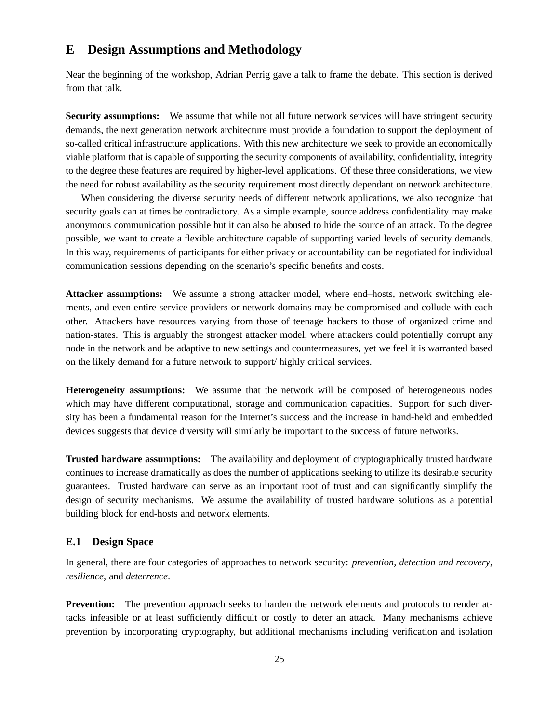# **E Design Assumptions and Methodology**

Near the beginning of the workshop, Adrian Perrig gave a talk to frame the debate. This section is derived from that talk.

**Security assumptions:** We assume that while not all future network services will have stringent security demands, the next generation network architecture must provide a foundation to support the deployment of so-called critical infrastructure applications. With this new architecture we seek to provide an economically viable platform that is capable of supporting the security components of availability, confidentiality, integrity to the degree these features are required by higher-level applications. Of these three considerations, we view the need for robust availability as the security requirement most directly dependant on network architecture.

When considering the diverse security needs of different network applications, we also recognize that security goals can at times be contradictory. As a simple example, source address confidentiality may make anonymous communication possible but it can also be abused to hide the source of an attack. To the degree possible, we want to create a flexible architecture capable of supporting varied levels of security demands. In this way, requirements of participants for either privacy or accountability can be negotiated for individual communication sessions depending on the scenario's specific benefits and costs.

**Attacker assumptions:** We assume a strong attacker model, where end–hosts, network switching elements, and even entire service providers or network domains may be compromised and collude with each other. Attackers have resources varying from those of teenage hackers to those of organized crime and nation-states. This is arguably the strongest attacker model, where attackers could potentially corrupt any node in the network and be adaptive to new settings and countermeasures, yet we feel it is warranted based on the likely demand for a future network to support/ highly critical services.

**Heterogeneity assumptions:** We assume that the network will be composed of heterogeneous nodes which may have different computational, storage and communication capacities. Support for such diversity has been a fundamental reason for the Internet's success and the increase in hand-held and embedded devices suggests that device diversity will similarly be important to the success of future networks.

**Trusted hardware assumptions:** The availability and deployment of cryptographically trusted hardware continues to increase dramatically as does the number of applications seeking to utilize its desirable security guarantees. Trusted hardware can serve as an important root of trust and can significantly simplify the design of security mechanisms. We assume the availability of trusted hardware solutions as a potential building block for end-hosts and network elements.

### **E.1 Design Space**

In general, there are four categories of approaches to network security: *prevention*, *detection and recovery*, *resilience*, and *deterrence*.

**Prevention:** The prevention approach seeks to harden the network elements and protocols to render attacks infeasible or at least sufficiently difficult or costly to deter an attack. Many mechanisms achieve prevention by incorporating cryptography, but additional mechanisms including verification and isolation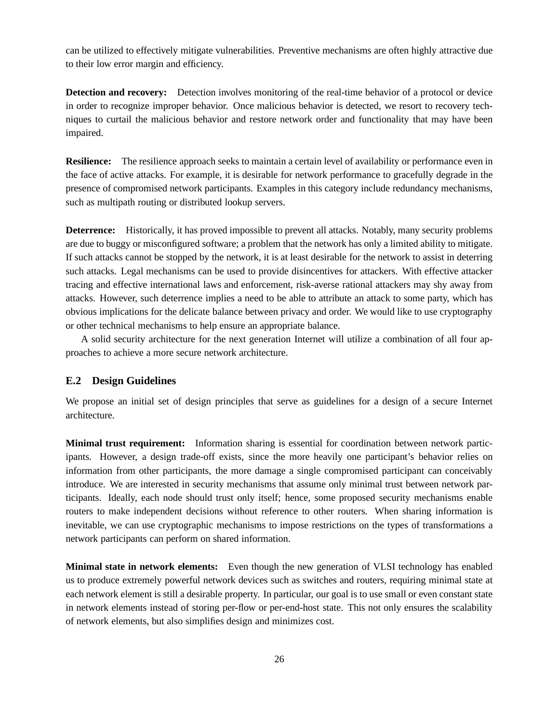can be utilized to effectively mitigate vulnerabilities. Preventive mechanisms are often highly attractive due to their low error margin and efficiency.

**Detection and recovery:** Detection involves monitoring of the real-time behavior of a protocol or device in order to recognize improper behavior. Once malicious behavior is detected, we resort to recovery techniques to curtail the malicious behavior and restore network order and functionality that may have been impaired.

**Resilience:** The resilience approach seeks to maintain a certain level of availability or performance even in the face of active attacks. For example, it is desirable for network performance to gracefully degrade in the presence of compromised network participants. Examples in this category include redundancy mechanisms, such as multipath routing or distributed lookup servers.

**Deterrence:** Historically, it has proved impossible to prevent all attacks. Notably, many security problems are due to buggy or misconfigured software; a problem that the network has only a limited ability to mitigate. If such attacks cannot be stopped by the network, it is at least desirable for the network to assist in deterring such attacks. Legal mechanisms can be used to provide disincentives for attackers. With effective attacker tracing and effective international laws and enforcement, risk-averse rational attackers may shy away from attacks. However, such deterrence implies a need to be able to attribute an attack to some party, which has obvious implications for the delicate balance between privacy and order. We would like to use cryptography or other technical mechanisms to help ensure an appropriate balance.

A solid security architecture for the next generation Internet will utilize a combination of all four approaches to achieve a more secure network architecture.

### **E.2 Design Guidelines**

We propose an initial set of design principles that serve as guidelines for a design of a secure Internet architecture.

**Minimal trust requirement:** Information sharing is essential for coordination between network participants. However, a design trade-off exists, since the more heavily one participant's behavior relies on information from other participants, the more damage a single compromised participant can conceivably introduce. We are interested in security mechanisms that assume only minimal trust between network participants. Ideally, each node should trust only itself; hence, some proposed security mechanisms enable routers to make independent decisions without reference to other routers. When sharing information is inevitable, we can use cryptographic mechanisms to impose restrictions on the types of transformations a network participants can perform on shared information.

**Minimal state in network elements:** Even though the new generation of VLSI technology has enabled us to produce extremely powerful network devices such as switches and routers, requiring minimal state at each network element is still a desirable property. In particular, our goal is to use small or even constant state in network elements instead of storing per-flow or per-end-host state. This not only ensures the scalability of network elements, but also simplifies design and minimizes cost.